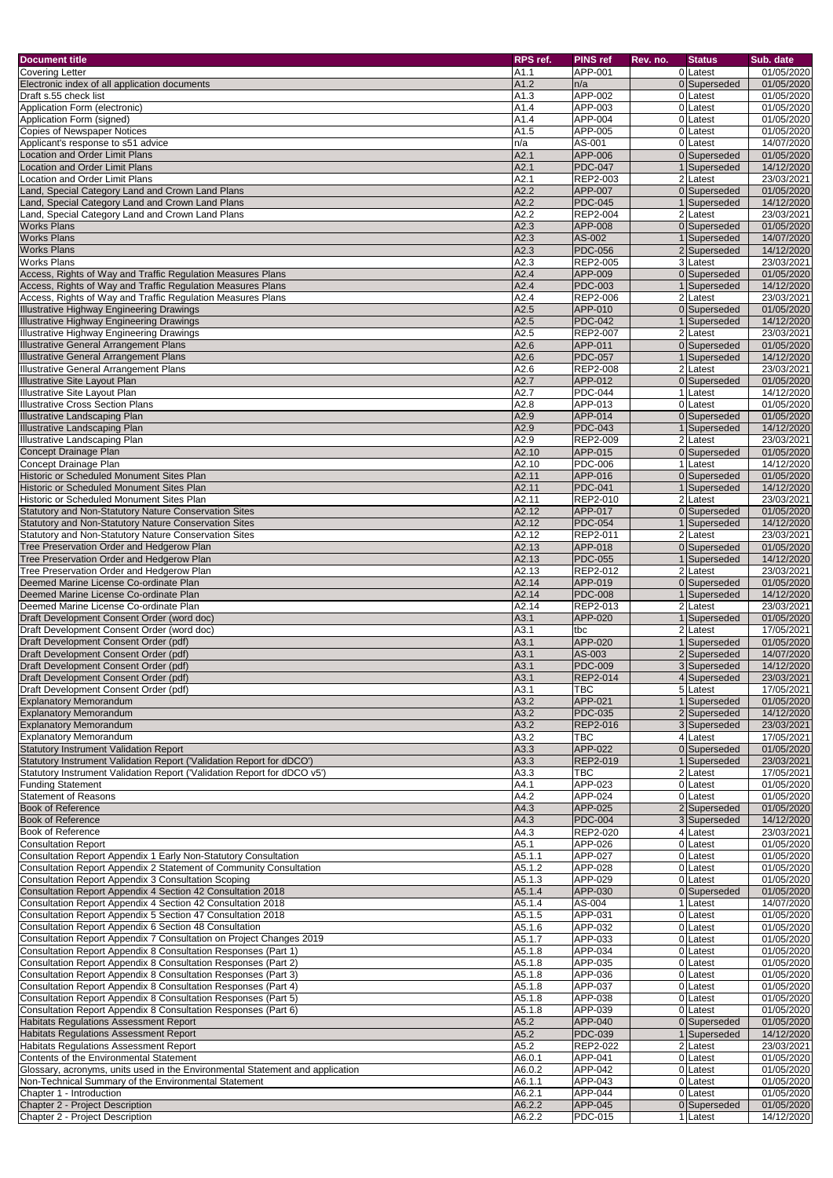| <b>Document title</b>                                                                                                                             | RPS ref.                    | <b>PINS ref</b>            | Rev. no. | <b>Status</b>                | Sub. date                |
|---------------------------------------------------------------------------------------------------------------------------------------------------|-----------------------------|----------------------------|----------|------------------------------|--------------------------|
| <b>Covering Letter</b>                                                                                                                            | A1.1                        | APP-001                    |          | 0Latest                      | 01/05/2020               |
| Electronic index of all application documents                                                                                                     | A1.2                        | n/a                        |          | 0 Superseded                 | 01/05/2020               |
| Draft s.55 check list                                                                                                                             | A1.3                        | APP-002                    |          | 0 Latest                     | 01/05/2020               |
| Application Form (electronic)<br>Application Form (signed)                                                                                        | A1.4<br>A1.4                | APP-003<br>APP-004         |          | 0Latest<br>0 Latest          | 01/05/2020<br>01/05/2020 |
| <b>Copies of Newspaper Notices</b>                                                                                                                | A1.5                        | APP-005                    |          | 0 Latest                     | 01/05/2020               |
| Applicant's response to s51 advice                                                                                                                | n/a                         | AS-001                     |          | 0Latest                      | 14/07/2020               |
| <b>Location and Order Limit Plans</b>                                                                                                             | A2.1                        | APP-006                    |          | 0 Superseded                 | 01/05/2020               |
| <b>Location and Order Limit Plans</b>                                                                                                             | A2.1                        | <b>PDC-047</b>             |          | 1 Superseded                 | 14/12/2020               |
| <b>Location and Order Limit Plans</b><br>Land, Special Category Land and Crown Land Plans                                                         | A2.1<br>A2.2                | REP2-003<br>APP-007        |          | 2 Latest<br>0 Superseded     | 23/03/2021<br>01/05/2020 |
| Land, Special Category Land and Crown Land Plans                                                                                                  | A2.2                        | <b>PDC-045</b>             |          | 1 Superseded                 | 14/12/2020               |
| Land, Special Category Land and Crown Land Plans                                                                                                  | A2.2                        | <b>REP2-004</b>            |          | 2 Latest                     | 23/03/2021               |
| <b>Works Plans</b>                                                                                                                                | A2.3                        | APP-008                    |          | 0 Superseded                 | 01/05/2020               |
| <b>Works Plans</b>                                                                                                                                | A2.3                        | AS-002                     |          | 1 Superseded                 | 14/07/2020               |
| <b>Works Plans</b><br><b>Works Plans</b>                                                                                                          | A2.3<br>A2.3                | <b>PDC-056</b><br>REP2-005 |          | 2 Superseded<br>3 Latest     | 14/12/2020<br>23/03/2021 |
| Access, Rights of Way and Traffic Regulation Measures Plans                                                                                       | A2.4                        | APP-009                    |          | 0 Superseded                 | 01/05/2020               |
| Access, Rights of Way and Traffic Regulation Measures Plans                                                                                       | A2.4                        | <b>PDC-003</b>             |          | Superseded                   | 14/12/2020               |
| Access, Rights of Way and Traffic Regulation Measures Plans                                                                                       | A2.4                        | REP2-006                   |          | 2 Latest                     | 23/03/2021               |
| <b>Illustrative Highway Engineering Drawings</b>                                                                                                  | A2.5                        | APP-010                    |          | 0 Superseded                 | 01/05/2020               |
| <b>Illustrative Highway Engineering Drawings</b><br><b>Illustrative Highway Engineering Drawings</b>                                              | A2.5<br>A2.5                | <b>PDC-042</b><br>REP2-007 |          | 1 Superseded<br>2 Latest     | 14/12/2020<br>23/03/2021 |
| <b>Illustrative General Arrangement Plans</b>                                                                                                     | A2.6                        | APP-011                    |          | 0 Superseded                 | 01/05/2020               |
| <b>Illustrative General Arrangement Plans</b>                                                                                                     | A2.6                        | <b>PDC-057</b>             |          | 1 Superseded                 | 14/12/2020               |
| <b>Illustrative General Arrangement Plans</b>                                                                                                     | A2.6                        | REP2-008                   |          | 2 Latest                     | 23/03/2021               |
| Illustrative Site Layout Plan                                                                                                                     | A2.7                        | APP-012                    |          | 0 Superseded                 | 01/05/2020               |
| <b>Illustrative Site Layout Plan</b>                                                                                                              | A2.7                        | <b>PDC-044</b>             |          | 1 Latest                     | 14/12/2020               |
| <b>Illustrative Cross Section Plans</b><br><b>Illustrative Landscaping Plan</b>                                                                   | A2.8<br>A2.9                | APP-013<br>APP-014         |          | 0 Latest<br>0 Superseded     | 01/05/2020<br>01/05/2020 |
| <b>Illustrative Landscaping Plan</b>                                                                                                              | A2.9                        | <b>PDC-043</b>             |          | 1 Superseded                 | 14/12/2020               |
| Illustrative Landscaping Plan                                                                                                                     | A2.9                        | REP2-009                   |          | 2 Latest                     | 23/03/2021               |
| <b>Concept Drainage Plan</b>                                                                                                                      | A2.10                       | APP-015                    |          | 0 Superseded                 | 01/05/2020               |
| Concept Drainage Plan                                                                                                                             | A2.10                       | <b>PDC-006</b>             |          | 1 Latest                     | 14/12/2020               |
| Historic or Scheduled Monument Sites Plan<br>Historic or Scheduled Monument Sites Plan                                                            | A2.11<br>A2.11              | APP-016<br><b>PDC-041</b>  |          | 0 Superseded<br>1 Superseded | 01/05/2020<br>14/12/2020 |
| Historic or Scheduled Monument Sites Plan                                                                                                         | A2.11                       | REP2-010                   |          | 2 Latest                     | 23/03/2021               |
| <b>Statutory and Non-Statutory Nature Conservation Sites</b>                                                                                      | A2.12                       | APP-017                    |          | 0 Superseded                 | 01/05/2020               |
| Statutory and Non-Statutory Nature Conservation Sites                                                                                             | A2.12                       | <b>PDC-054</b>             |          | 1 Superseded                 | 14/12/2020               |
| Statutory and Non-Statutory Nature Conservation Sites                                                                                             | A2.12                       | <b>REP2-011</b>            |          | 2 Latest                     | 23/03/2021               |
| Tree Preservation Order and Hedgerow Plan<br>Tree Preservation Order and Hedgerow Plan                                                            | $\overline{A2.13}$<br>A2.13 | APP-018<br><b>PDC-055</b>  |          | 0 Superseded<br>1 Superseded | 01/05/2020<br>14/12/2020 |
| Tree Preservation Order and Hedgerow Plan                                                                                                         | A2.13                       | REP2-012                   |          | 2 Latest                     | 23/03/2021               |
| Deemed Marine License Co-ordinate Plan                                                                                                            | A2.14                       | APP-019                    |          | 0 Superseded                 | 01/05/2020               |
| Deemed Marine License Co-ordinate Plan                                                                                                            | A2.14                       | <b>PDC-008</b>             |          | 1 Superseded                 | 14/12/2020               |
| Deemed Marine License Co-ordinate Plan                                                                                                            | A2.14                       | REP2-013                   |          | 2 Latest                     | 23/03/2021               |
| Draft Development Consent Order (word doc)<br>Draft Development Consent Order (word doc)                                                          | A3.1<br>A3.1                | APP-020<br>tbc             |          | 1 Superseded<br>2 Latest     | 01/05/2020<br>17/05/2021 |
| Draft Development Consent Order (pdf)                                                                                                             | A3.1                        | APP-020                    |          | 1 Superseded                 | 01/05/2020               |
| Draft Development Consent Order (pdf)                                                                                                             | A3.1                        | AS-003                     |          | 2 Superseded                 | 14/07/2020               |
| Draft Development Consent Order (pdf)                                                                                                             | A3.1                        | <b>PDC-009</b>             |          | 3 Superseded                 | 14/12/2020               |
| Draft Development Consent Order (pdf)                                                                                                             | A3.1                        | <b>REP2-014</b>            |          | 4 Superseded                 | 23/03/2021               |
| Draft Development Consent Order (pdf)<br><b>Explanatory Memorandum</b>                                                                            | A3.1<br>A3.2                | TBC<br>APP-021             |          | 5Latest<br>1 Superseded      | 17/05/2021<br>01/05/2020 |
| <b>Explanatory Memorandum</b>                                                                                                                     | A3.2                        | <b>PDC-035</b>             |          | 2 Superseded                 | 14/12/2020               |
| <b>Explanatory Memorandum</b>                                                                                                                     | A3.2                        | <b>REP2-016</b>            |          | 3 Superseded                 | 23/03/2021               |
| <b>Explanatory Memorandum</b>                                                                                                                     | A3.2                        | TBC                        |          | 4 Latest                     | 17/05/2021               |
| <b>Statutory Instrument Validation Report</b>                                                                                                     | A3.3                        | APP-022                    |          | 0 Superseded                 | 01/05/2020               |
| Statutory Instrument Validation Report ('Validation Report for dDCO')<br>Statutory Instrument Validation Report ('Validation Report for dDCO v5') | A3.3<br>A3.3                | REP2-019<br>TBC            |          | 1 Superseded<br>2 Latest     | 23/03/2021<br>17/05/2021 |
| <b>Funding Statement</b>                                                                                                                          | A4.1                        | APP-023                    |          | 0 Latest                     | 01/05/2020               |
| <b>Statement of Reasons</b>                                                                                                                       | $\overline{A4.2}$           | APP-024                    |          | 0 Latest                     | 01/05/2020               |
| <b>Book of Reference</b>                                                                                                                          | A4.3                        | APP-025                    |          | 2 Superseded                 | 01/05/2020               |
| <b>Book of Reference</b>                                                                                                                          | A4.3                        | <b>PDC-004</b>             |          | 3 Superseded                 | 14/12/2020               |
| <b>Book of Reference</b><br><b>Consultation Report</b>                                                                                            | A4.3<br>A5.1                | REP2-020<br>APP-026        |          | 4 Latest<br>0 Latest         | 23/03/2021<br>01/05/2020 |
| Consultation Report Appendix 1 Early Non-Statutory Consultation                                                                                   | A5.1.1                      | APP-027                    |          | 0 Latest                     | 01/05/2020               |
| Consultation Report Appendix 2 Statement of Community Consultation                                                                                | A5.1.2                      | APP-028                    |          | 0 Latest                     | 01/05/2020               |
| <b>Consultation Report Appendix 3 Consultation Scoping</b>                                                                                        | A5.1.3                      | APP-029                    |          | 0 Latest                     | 01/05/2020               |
| Consultation Report Appendix 4 Section 42 Consultation 2018                                                                                       | A5.1.4                      | APP-030                    |          | 0 Superseded                 | 01/05/2020               |
| Consultation Report Appendix 4 Section 42 Consultation 2018<br>Consultation Report Appendix 5 Section 47 Consultation 2018                        | A5.1.4<br>A5.1.5            | AS-004<br>APP-031          |          | 1 Latest<br>0 Latest         | 14/07/2020<br>01/05/2020 |
| Consultation Report Appendix 6 Section 48 Consultation                                                                                            | A5.1.6                      | APP-032                    |          | 0 Latest                     | $\overline{01}/05/2020$  |
| Consultation Report Appendix 7 Consultation on Project Changes 2019                                                                               | A5.1.7                      | APP-033                    |          | 0 Latest                     | 01/05/2020               |
| Consultation Report Appendix 8 Consultation Responses (Part 1)                                                                                    | A5.1.8                      | APP-034                    |          | 0 Latest                     | 01/05/2020               |
| Consultation Report Appendix 8 Consultation Responses (Part 2)                                                                                    | A5.1.8                      | APP-035                    |          | 0 Latest                     | 01/05/2020               |
| Consultation Report Appendix 8 Consultation Responses (Part 3)<br>Consultation Report Appendix 8 Consultation Responses (Part 4)                  | A5.1.8<br>A5.1.8            | APP-036<br>APP-037         |          | 0 Latest<br>0 Latest         | 01/05/2020<br>01/05/2020 |
| Consultation Report Appendix 8 Consultation Responses (Part 5)                                                                                    | A5.1.8                      | APP-038                    |          | 0 Latest                     | 01/05/2020               |
| Consultation Report Appendix 8 Consultation Responses (Part 6)                                                                                    | A5.1.8                      | APP-039                    |          | 0Latest                      | 01/05/2020               |
| Habitats Regulations Assessment Report                                                                                                            | A5.2                        | APP-040                    |          | 0 Superseded                 | 01/05/2020               |
| <b>Habitats Regulations Assessment Report</b>                                                                                                     | A5.2                        | <b>PDC-039</b>             |          | 1 Superseded                 | 14/12/2020               |
| <b>Habitats Regulations Assessment Report</b><br>Contents of the Environmental Statement                                                          | A5.2<br>A6.0.1              | REP2-022<br>APP-041        |          | 2 Latest<br>0 Latest         | 23/03/2021<br>01/05/2020 |
| Glossary, acronyms, units used in the Environmental Statement and application                                                                     | A6.0.2                      | APP-042                    |          | 0 Latest                     | 01/05/2020               |
| Non-Technical Summary of the Environmental Statement                                                                                              | A6.1.1                      | APP-043                    |          | 0 Latest                     | 01/05/2020               |
| Chapter 1 - Introduction                                                                                                                          | A6.2.1                      | APP-044                    |          | 0 Latest                     | 01/05/2020               |
| Chapter 2 - Project Description                                                                                                                   | A6.2.2                      | APP-045                    |          | 0 Superseded                 | 01/05/2020               |
| Chapter 2 - Project Description                                                                                                                   | A6.2.2                      | <b>PDC-015</b>             |          | 1 Latest                     | 14/12/2020               |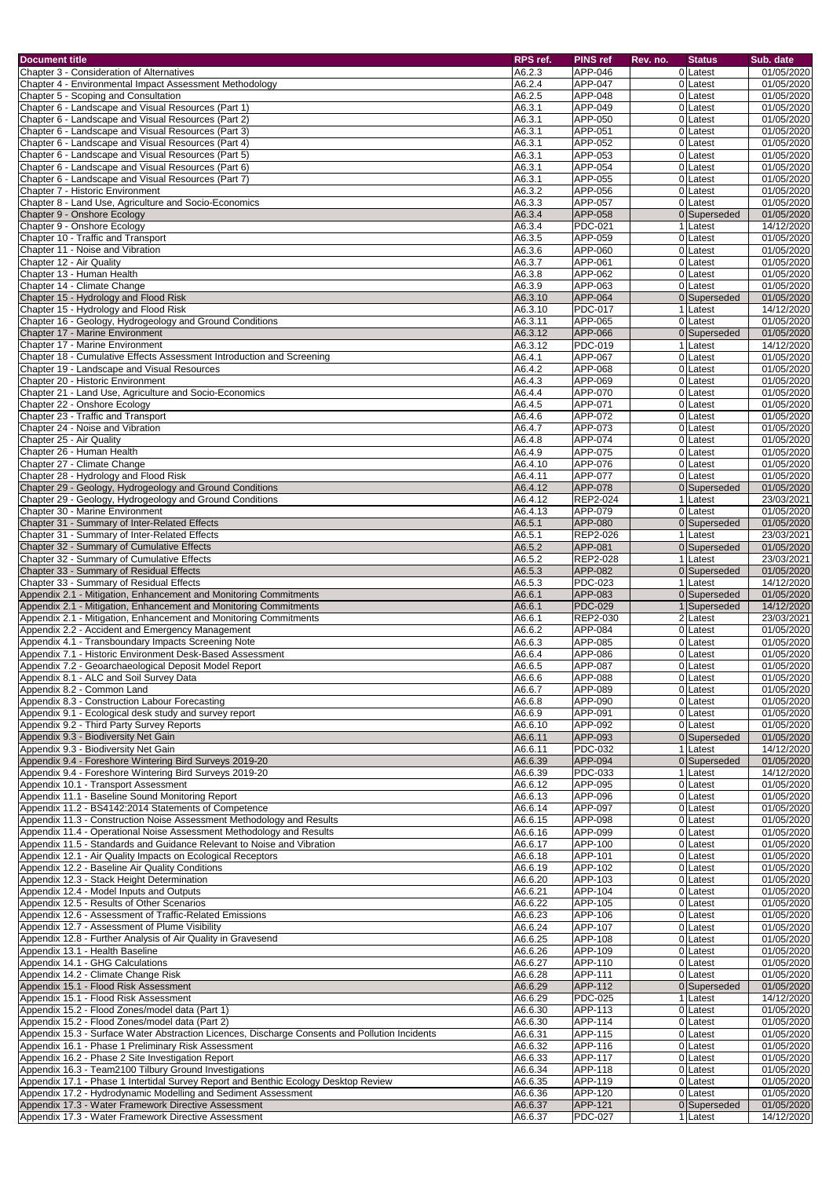| <b>Document title</b>                                                                          | RPS ref. | <b>PINS ref</b> | Rev. no. | <b>Status</b> | Sub. date  |
|------------------------------------------------------------------------------------------------|----------|-----------------|----------|---------------|------------|
| Chapter 3 - Consideration of Alternatives                                                      | A6.2.3   | APP-046         |          | 0 Latest      | 01/05/2020 |
| Chapter 4 - Environmental Impact Assessment Methodology                                        | A6.2.4   | APP-047         |          | 0 Latest      | 01/05/2020 |
| Chapter 5 - Scoping and Consultation                                                           | A6.2.5   | APP-048         |          | 0 Latest      | 01/05/2020 |
| Chapter 6 - Landscape and Visual Resources (Part 1)                                            | A6.3.1   | APP-049         |          | 0 Latest      | 01/05/2020 |
| Chapter 6 - Landscape and Visual Resources (Part 2)                                            | A6.3.1   | APP-050         |          | 0 Latest      | 01/05/2020 |
| Chapter 6 - Landscape and Visual Resources (Part 3)                                            | A6.3.1   | APP-051         |          | 0 Latest      | 01/05/2020 |
| Chapter 6 - Landscape and Visual Resources (Part 4)                                            | A6.3.1   | APP-052         |          | 0 Latest      | 01/05/2020 |
| Chapter 6 - Landscape and Visual Resources (Part 5)                                            | A6.3.1   | APP-053         |          | 0 Latest      | 01/05/2020 |
| Chapter 6 - Landscape and Visual Resources (Part 6)                                            | A6.3.1   | APP-054         |          | 0 Latest      | 01/05/2020 |
| Chapter 6 - Landscape and Visual Resources (Part 7)                                            | A6.3.1   | APP-055         |          | 0 Latest      | 01/05/2020 |
| Chapter 7 - Historic Environment                                                               | A6.3.2   | APP-056         |          | 0 Latest      | 01/05/2020 |
| Chapter 8 - Land Use, Agriculture and Socio-Economics                                          | A6.3.3   | APP-057         |          | 0Latest       | 01/05/2020 |
| Chapter 9 - Onshore Ecology                                                                    | A6.3.4   | APP-058         |          | 0 Superseded  | 01/05/2020 |
| Chapter 9 - Onshore Ecology                                                                    | A6.3.4   | <b>PDC-021</b>  |          | 1 Latest      | 14/12/2020 |
| Chapter 10 - Traffic and Transport                                                             | A6.3.5   | APP-059         |          | 0 Latest      | 01/05/2020 |
| Chapter 11 - Noise and Vibration                                                               | A6.3.6   | APP-060         |          | 0 Latest      | 01/05/2020 |
| Chapter 12 - Air Quality                                                                       | A6.3.7   | APP-061         |          | 0 Latest      | 01/05/2020 |
| Chapter 13 - Human Health                                                                      |          |                 |          | 0Latest       |            |
| Chapter 14 - Climate Change                                                                    | A6.3.8   | APP-062         |          |               | 01/05/2020 |
|                                                                                                | A6.3.9   | APP-063         |          | 0Latest       | 01/05/2020 |
| Chapter 15 - Hydrology and Flood Risk                                                          | A6.3.10  | APP-064         |          | 0 Superseded  | 01/05/2020 |
| Chapter 15 - Hydrology and Flood Risk                                                          | A6.3.10  | <b>PDC-017</b>  |          | 1 Latest      | 14/12/2020 |
| Chapter 16 - Geology, Hydrogeology and Ground Conditions                                       | A6.3.11  | APP-065         |          | 0 Latest      | 01/05/2020 |
| Chapter 17 - Marine Environment                                                                | A6.3.12  | APP-066         |          | 0 Superseded  | 01/05/2020 |
| Chapter 17 - Marine Environment                                                                | A6.3.12  | <b>PDC-019</b>  |          | 1 Latest      | 14/12/2020 |
| Chapter 18 - Cumulative Effects Assessment Introduction and Screening                          | A6.4.1   | APP-067         |          | 0 Latest      | 01/05/2020 |
| Chapter 19 - Landscape and Visual Resources                                                    | A6.4.2   | APP-068         |          | 0 Latest      | 01/05/2020 |
| Chapter 20 - Historic Environment                                                              | A6.4.3   | APP-069         |          | 0 Latest      | 01/05/2020 |
| Chapter 21 - Land Use, Agriculture and Socio-Economics                                         | A6.4.4   | APP-070         |          | 0Latest       | 01/05/2020 |
| Chapter 22 - Onshore Ecology                                                                   | A6.4.5   | APP-071         |          | 0Latest       | 01/05/2020 |
| Chapter 23 - Traffic and Transport                                                             | A6.4.6   | APP-072         |          | 0 Latest      | 01/05/2020 |
| Chapter 24 - Noise and Vibration                                                               | A6.4.7   | APP-073         |          | 0 Latest      | 01/05/2020 |
| Chapter 25 - Air Quality                                                                       | A6.4.8   | APP-074         |          | 0 Latest      | 01/05/2020 |
| Chapter 26 - Human Health                                                                      | A6.4.9   | APP-075         |          | 0Latest       | 01/05/2020 |
| Chapter 27 - Climate Change                                                                    | A6.4.10  | APP-076         |          | 0Latest       | 01/05/2020 |
| Chapter 28 - Hydrology and Flood Risk                                                          | A6.4.11  | <b>APP-077</b>  |          | 0 Latest      | 01/05/2020 |
| Chapter 29 - Geology, Hydrogeology and Ground Conditions                                       | A6.4.12  | APP-078         |          | 0 Superseded  | 01/05/2020 |
|                                                                                                | A6.4.12  | <b>REP2-024</b> |          | 1 Latest      | 23/03/2021 |
| Chapter 29 - Geology, Hydrogeology and Ground Conditions                                       |          |                 |          | 0 Latest      |            |
| Chapter 30 - Marine Environment                                                                | A6.4.13  | APP-079         |          |               | 01/05/2020 |
| Chapter 31 - Summary of Inter-Related Effects                                                  | A6.5.1   | APP-080         |          | 0 Superseded  | 01/05/2020 |
| Chapter 31 - Summary of Inter-Related Effects                                                  | A6.5.1   | REP2-026        |          | 1 Latest      | 23/03/2021 |
| Chapter 32 - Summary of Cumulative Effects                                                     | A6.5.2   | APP-081         |          | 0 Superseded  | 01/05/2020 |
| Chapter 32 - Summary of Cumulative Effects                                                     | A6.5.2   | <b>REP2-028</b> |          | 1 Latest      | 23/03/2021 |
| Chapter 33 - Summary of Residual Effects                                                       | A6.5.3   | APP-082         |          | 0 Superseded  | 01/05/2020 |
| Chapter 33 - Summary of Residual Effects                                                       | A6.5.3   | <b>PDC-023</b>  |          | 1 Latest      | 14/12/2020 |
| Appendix 2.1 - Mitigation, Enhancement and Monitoring Commitments                              | A6.6.1   | APP-083         |          | 0 Superseded  | 01/05/2020 |
| Appendix 2.1 - Mitigation, Enhancement and Monitoring Commitments                              | A6.6.1   | <b>PDC-029</b>  |          | 1 Superseded  | 14/12/2020 |
| Appendix 2.1 - Mitigation, Enhancement and Monitoring Commitments                              | A6.6.1   | <b>REP2-030</b> |          | 2 Latest      | 23/03/2021 |
| Appendix 2.2 - Accident and Emergency Management                                               | A6.6.2   | APP-084         |          | 0 Latest      | 01/05/2020 |
| Appendix 4.1 - Transboundary Impacts Screening Note                                            | A6.6.3   | APP-085         |          | 0 Latest      | 01/05/2020 |
| Appendix 7.1 - Historic Environment Desk-Based Assessment                                      | A6.6.4   | APP-086         |          | 0 Latest      | 01/05/2020 |
| Appendix 7.2 - Geoarchaeological Deposit Model Report                                          | A6.6.5   | APP-087         |          | 0 Latest      | 01/05/2020 |
| Appendix 8.1 - ALC and Soil Survey Data                                                        | A6.6.6   | APP-088         |          | 0 Latest      | 01/05/2020 |
| Appendix 8.2 - Common Land                                                                     | A6.6.7   | APP-089         |          | 0 Latest      | 01/05/2020 |
| Appendix 8.3 - Construction Labour Forecasting                                                 | A6.6.8   | APP-090         |          | 0 Latest      | 01/05/2020 |
| Appendix 9.1 - Ecological desk study and survey report                                         | A6.6.9   | APP-091         |          | 0 Latest      | 01/05/2020 |
| Appendix 9.2 - Third Party Survey Reports                                                      | A6.6.10  | APP-092         |          | 0 Latest      | 01/05/2020 |
| Appendix 9.3 - Biodiversity Net Gain                                                           | A6.6.11  | APP-093         |          | 0 Superseded  | 01/05/2020 |
| Appendix 9.3 - Biodiversity Net Gain                                                           | A6.6.11  | <b>PDC-032</b>  |          | 1 Latest      | 14/12/2020 |
| Appendix 9.4 - Foreshore Wintering Bird Surveys 2019-20                                        | A6.6.39  | APP-094         |          | 0 Superseded  | 01/05/2020 |
| Appendix 9.4 - Foreshore Wintering Bird Surveys 2019-20                                        | A6.6.39  | <b>PDC-033</b>  |          | 1 Latest      | 14/12/2020 |
| Appendix 10.1 - Transport Assessment                                                           | A6.6.12  | APP-095         |          | 0 Latest      | 01/05/2020 |
| Appendix 11.1 - Baseline Sound Monitoring Report                                               | A6.6.13  | APP-096         |          | 0 Latest      | 01/05/2020 |
| Appendix 11.2 - BS4142:2014 Statements of Competence                                           | A6.6.14  | APP-097         |          | 0 Latest      | 01/05/2020 |
| Appendix 11.3 - Construction Noise Assessment Methodology and Results                          | A6.6.15  | APP-098         |          | 0 Latest      | 01/05/2020 |
| Appendix 11.4 - Operational Noise Assessment Methodology and Results                           | A6.6.16  | APP-099         |          | 0 Latest      | 01/05/2020 |
| Appendix 11.5 - Standards and Guidance Relevant to Noise and Vibration                         |          | <b>APP-100</b>  |          | 0 Latest      |            |
|                                                                                                | A6.6.17  |                 |          |               | 01/05/2020 |
| Appendix 12.1 - Air Quality Impacts on Ecological Receptors                                    | A6.6.18  | <b>APP-101</b>  |          | 0 Latest      | 01/05/2020 |
| Appendix 12.2 - Baseline Air Quality Conditions                                                | A6.6.19  | APP-102         |          | 0 Latest      | 01/05/2020 |
| Appendix 12.3 - Stack Height Determination                                                     | A6.6.20  | APP-103         |          | 0 Latest      | 01/05/2020 |
| Appendix 12.4 - Model Inputs and Outputs                                                       | A6.6.21  | APP-104         |          | 0 Latest      | 01/05/2020 |
| Appendix 12.5 - Results of Other Scenarios                                                     | A6.6.22  | APP-105         |          | 0Latest       | 01/05/2020 |
| Appendix 12.6 - Assessment of Traffic-Related Emissions                                        | A6.6.23  | APP-106         |          | 0Latest       | 01/05/2020 |
| Appendix 12.7 - Assessment of Plume Visibility                                                 | A6.6.24  | <b>APP-107</b>  |          | 0 Latest      | 01/05/2020 |
| Appendix 12.8 - Further Analysis of Air Quality in Gravesend                                   | A6.6.25  | APP-108         |          | 0 Latest      | 01/05/2020 |
| Appendix 13.1 - Health Baseline                                                                | A6.6.26  | APP-109         |          | 0 Latest      | 01/05/2020 |
| Appendix 14.1 - GHG Calculations                                                               | A6.6.27  | APP-110         |          | 0 Latest      | 01/05/2020 |
| Appendix 14.2 - Climate Change Risk                                                            | A6.6.28  | APP-111         |          | 0 Latest      | 01/05/2020 |
| Appendix 15.1 - Flood Risk Assessment                                                          | A6.6.29  | APP-112         |          | 0 Superseded  | 01/05/2020 |
| Appendix 15.1 - Flood Risk Assessment                                                          | A6.6.29  | <b>PDC-025</b>  |          | 1 Latest      | 14/12/2020 |
| Appendix 15.2 - Flood Zones/model data (Part 1)                                                | A6.6.30  | APP-113         |          | 0 Latest      | 01/05/2020 |
| Appendix 15.2 - Flood Zones/model data (Part 2)                                                | A6.6.30  | APP-114         |          | 0 Latest      | 01/05/2020 |
| Appendix 15.3 - Surface Water Abstraction Licences, Discharge Consents and Pollution Incidents | A6.6.31  | APP-115         |          | 0 Latest      | 01/05/2020 |
| Appendix 16.1 - Phase 1 Preliminary Risk Assessment                                            | A6.6.32  | APP-116         |          | 0 Latest      | 01/05/2020 |
| Appendix 16.2 - Phase 2 Site Investigation Report                                              | A6.6.33  | APP-117         |          | 0 Latest      | 01/05/2020 |
| Appendix 16.3 - Team2100 Tilbury Ground Investigations                                         | A6.6.34  | APP-118         |          | 0 Latest      | 01/05/2020 |
| Appendix 17.1 - Phase 1 Intertidal Survey Report and Benthic Ecology Desktop Review            | A6.6.35  | APP-119         |          | 0 Latest      | 01/05/2020 |
| Appendix 17.2 - Hydrodynamic Modelling and Sediment Assessment                                 | A6.6.36  | APP-120         |          | 0 Latest      | 01/05/2020 |
| Appendix 17.3 - Water Framework Directive Assessment                                           | A6.6.37  | APP-121         |          | 0 Superseded  | 01/05/2020 |
| Appendix 17.3 - Water Framework Directive Assessment                                           | A6.6.37  | <b>PDC-027</b>  |          | 1 Latest      | 14/12/2020 |
|                                                                                                |          |                 |          |               |            |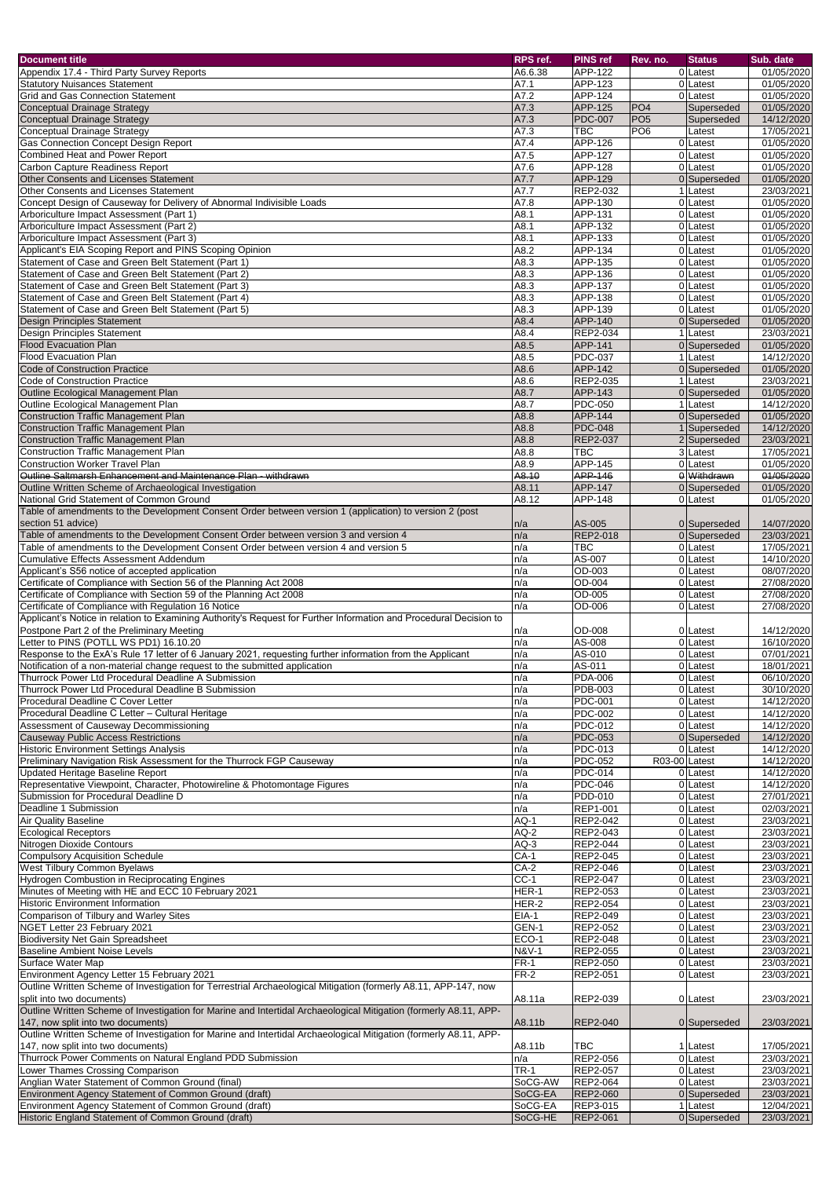| <b>Document title</b>                                                                                              | RPS ref.                 | <b>PINS ref</b>             | Rev. no.        | <b>Status</b>              | Sub. date                |
|--------------------------------------------------------------------------------------------------------------------|--------------------------|-----------------------------|-----------------|----------------------------|--------------------------|
|                                                                                                                    |                          | APP-122                     |                 | 0 Latest                   |                          |
| Appendix 17.4 - Third Party Survey Reports<br><b>Statutory Nuisances Statement</b>                                 | A6.6.38<br>A7.1          | APP-123                     |                 | 0 Latest                   | 01/05/2020<br>01/05/2020 |
| <b>Grid and Gas Connection Statement</b>                                                                           | A7.2                     | APP-124                     |                 | 0 Latest                   | 01/05/2020               |
| Conceptual Drainage Strategy                                                                                       | A7.3                     | APP-125                     | PO4             | Superseded                 | 01/05/2020               |
| Conceptual Drainage Strategy                                                                                       | A7.3                     | <b>PDC-007</b>              | PO <sub>5</sub> | Superseded                 | 14/12/2020               |
| Conceptual Drainage Strategy                                                                                       | A7.3                     | <b>TBC</b>                  | PO <sub>6</sub> | Latest                     | 17/05/2021               |
| Gas Connection Concept Design Report                                                                               | A7.4                     | APP-126                     |                 | 0 Latest                   | 01/05/2020               |
| <b>Combined Heat and Power Report</b>                                                                              | A7.5                     | APP-127                     |                 | 0 Latest                   | 01/05/2020               |
| Carbon Capture Readiness Report                                                                                    | A7.6                     | APP-128                     |                 | 0 Latest                   | 01/05/2020               |
| Other Consents and Licenses Statement                                                                              | A7.7                     | APP-129                     |                 | 0 Superseded               | 01/05/2020               |
| Other Consents and Licenses Statement                                                                              | A7.7                     | REP2-032                    |                 | Latest                     | 23/03/2021               |
| Concept Design of Causeway for Delivery of Abnormal Indivisible Loads                                              | A7.8                     | APP-130                     |                 | 0 Latest                   | 01/05/2020               |
| Arboriculture Impact Assessment (Part 1)                                                                           | A8.1                     | APP-131                     |                 | 0 Latest                   | 01/05/2020               |
| Arboriculture Impact Assessment (Part 2)                                                                           | A8.1                     | APP-132                     |                 | 0 Latest                   | 01/05/2020               |
| Arboriculture Impact Assessment (Part 3)                                                                           | A8.1                     | APP-133                     |                 | 0 Latest                   | 01/05/2020               |
| Applicant's EIA Scoping Report and PINS Scoping Opinion                                                            | A8.2                     | APP-134                     |                 | 0 Latest                   | 01/05/2020               |
| Statement of Case and Green Belt Statement (Part 1)                                                                | A8.3                     | APP-135                     |                 | 0 Latest                   | 01/05/2020               |
| Statement of Case and Green Belt Statement (Part 2)                                                                | A8.3                     | APP-136                     |                 | 0 Latest                   | 01/05/2020               |
| Statement of Case and Green Belt Statement (Part 3)                                                                | A8.3                     | APP-137                     |                 | 0 Latest                   | 01/05/2020               |
| Statement of Case and Green Belt Statement (Part 4)                                                                | A8.3                     | APP-138                     |                 | 0 Latest                   | 01/05/2020               |
| Statement of Case and Green Belt Statement (Part 5)                                                                | A8.3                     | APP-139                     |                 | 0 Latest                   | 01/05/2020               |
| <b>Design Principles Statement</b>                                                                                 | A8.4                     | APP-140                     |                 | 0 Superseded               | 01/05/2020               |
| <b>Design Principles Statement</b>                                                                                 | A8.4                     | <b>REP2-034</b>             |                 | 1 Latest                   | 23/03/2021               |
| <b>Flood Evacuation Plan</b>                                                                                       | A8.5                     | APP-141                     |                 | 0 Superseded               | 01/05/2020               |
| <b>Flood Evacuation Plan</b>                                                                                       | A8.5                     | <b>PDC-037</b>              |                 | Latest                     | 14/12/2020               |
| <b>Code of Construction Practice</b>                                                                               | A8.6                     | APP-142                     |                 | 0 Superseded               | 01/05/2020               |
| Code of Construction Practice                                                                                      | A8.6                     | REP2-035                    |                 | 1 Latest                   | 23/03/2021               |
| Outline Ecological Management Plan                                                                                 | A8.7                     | APP-143                     |                 | 0 Superseded               | 01/05/2020               |
| Outline Ecological Management Plan                                                                                 | A8.7                     | <b>PDC-050</b>              |                 | Latest                     | 14/12/2020               |
| <b>Construction Traffic Management Plan</b>                                                                        | A8.8                     | <b>APP-144</b>              |                 | 0 Superseded               | 01/05/2020               |
| <b>Construction Traffic Management Plan</b><br>Construction Traffic Management Plan                                | A8.8<br>A8.8             | <b>PDC-048</b><br>REP2-037  |                 | Superseded<br>2 Superseded | 14/12/2020<br>23/03/2021 |
| <b>Construction Traffic Management Plan</b>                                                                        | A8.8                     | $\overline{\text{TBC}}$     |                 | 3 Latest                   | 17/05/2021               |
| <b>Construction Worker Travel Plan</b>                                                                             | A8.9                     | APP-145                     |                 | 0 Latest                   | 01/05/2020               |
| Outline Saltmarsh Enhancement and Maintenance Plan - withdrawn                                                     | A8.10                    | <b>APP-146</b>              |                 | 0 Withdrawn                | 01/05/2020               |
| Outline Written Scheme of Archaeological Investigation                                                             | A8.11                    | <b>APP-147</b>              |                 | 0 Superseded               | 01/05/2020               |
| National Grid Statement of Common Ground                                                                           | A8.12                    | <b>APP-148</b>              |                 | 0 Latest                   | 01/05/2020               |
| Table of amendments to the Development Consent Order between version 1 (application) to version 2 (post            |                          |                             |                 |                            |                          |
| section 51 advice)                                                                                                 | n/a                      | AS-005                      |                 | 0 Superseded               | 14/07/2020               |
| Table of amendments to the Development Consent Order between version 3 and version 4                               | n/a                      | <b>REP2-018</b>             |                 | 0 Superseded               | 23/03/2021               |
| Table of amendments to the Development Consent Order between version 4 and version 5                               | n/a                      | $\overline{\text{TBC}}$     |                 | 0 Latest                   | 17/05/2021               |
| <b>Cumulative Effects Assessment Addendum</b>                                                                      | n/a                      | AS-007                      |                 | 0 Latest                   | 14/10/2020               |
| Applicant's S56 notice of accepted application                                                                     | n/a                      | OD-003                      |                 | 0 Latest                   | 08/07/2020               |
| Certificate of Compliance with Section 56 of the Planning Act 2008                                                 | n/a                      | <b>OD-004</b>               |                 | 0 Latest                   | 27/08/2020               |
| Certificate of Compliance with Section 59 of the Planning Act 2008                                                 | n/a                      | OD-005                      |                 | 0 Latest                   | 27/08/2020               |
| Certificate of Compliance with Regulation 16 Notice                                                                | n/a                      | OD-006                      |                 | 0 Latest                   | 27/08/2020               |
| Applicant's Notice in relation to Examining Authority's Request for Further Information and Procedural Decision to |                          |                             |                 |                            |                          |
| Postpone Part 2 of the Preliminary Meeting                                                                         | n/a                      | <b>OD-008</b>               |                 | 0 Latest                   | 14/12/2020               |
| Letter to PINS (POTLL WS PD1) 16.10.20                                                                             | n/a                      | AS-008                      |                 | 0 Latest                   | 16/10/2020               |
| Response to the ExA's Rule 17 letter of 6 January 2021, requesting further information from the Applicant          | n/a                      | AS-010                      |                 | 0 Latest                   | 07/01/2021               |
| Notification of a non-material change request to the submitted application                                         | n/a                      | AS-011                      |                 | 0 Latest                   | 18/01/2021               |
| Thurrock Power Ltd Procedural Deadline A Submission                                                                | n/a                      | <b>PDA-006</b>              |                 | 0 Latest                   | 06/10/2020               |
| <b>Thurrock Power Ltd Procedural Deadline B Submission</b>                                                         | n/a                      | PDB-003                     |                 | 0 Latest                   | 30/10/2020               |
| Procedural Deadline C Cover Letter                                                                                 | n/a                      | <b>PDC-001</b>              |                 | 0 Latest                   | 14/12/2020               |
| Procedural Deadline C Letter - Cultural Heritage                                                                   | n/a                      | <b>PDC-002</b>              |                 | 0 Latest                   | 14/12/2020               |
| Assessment of Causeway Decommissioning                                                                             | n/a                      | <b>PDC-012</b>              |                 | 0 Latest                   | 14/12/2020               |
| <b>Causeway Public Access Restrictions</b>                                                                         | n/a                      | <b>PDC-053</b>              |                 | 0 Superseded               | 14/12/2020               |
| <b>Historic Environment Settings Analysis</b>                                                                      | n/a                      | <b>PDC-013</b>              |                 | 0 Latest                   | 14/12/2020               |
| Preliminary Navigation Risk Assessment for the Thurrock FGP Causeway                                               | n/a                      | <b>PDC-052</b>              | R03-00 Latest   |                            | 14/12/2020               |
| Updated Heritage Baseline Report                                                                                   | n/a                      | <b>PDC-014</b>              |                 | 0 Latest                   | 14/12/2020               |
| Representative Viewpoint, Character, Photowireline & Photomontage Figures                                          | n/a                      | <b>PDC-046</b>              |                 | 0 Latest                   | 14/12/2020               |
| Submission for Procedural Deadline D                                                                               | n/a                      | PDD-010                     |                 | 0 Latest                   | 27/01/2021               |
| Deadline 1 Submission                                                                                              | n/a<br>$\overline{AQ-1}$ | REP1-001                    |                 | 0 Latest                   | 02/03/2021               |
| <b>Air Quality Baseline</b><br><b>Ecological Receptors</b>                                                         | $AQ-2$                   | REP2-042<br><b>REP2-043</b> |                 | 0 Latest<br>0 Latest       | 23/03/2021<br>23/03/2021 |
| Nitrogen Dioxide Contours                                                                                          | $AQ-3$                   | <b>REP2-044</b>             |                 | 0 Latest                   | 23/03/2021               |
| <b>Compulsory Acquisition Schedule</b>                                                                             | $CA-1$                   | REP2-045                    |                 | 0 Latest                   | 23/03/2021               |
| <b>West Tilbury Common Byelaws</b>                                                                                 | $CA-2$                   | REP2-046                    |                 | 0 Latest                   | 23/03/2021               |
| <b>Hydrogen Combustion in Reciprocating Engines</b>                                                                | $CC-1$                   | REP2-047                    |                 | 0 Latest                   | 23/03/2021               |
| Minutes of Meeting with HE and ECC 10 February 2021                                                                | HER-1                    | REP2-053                    |                 | 0 Latest                   | 23/03/2021               |
| <b>Historic Environment Information</b>                                                                            | HER-2                    | REP2-054                    |                 | 0 Latest                   | 23/03/2021               |
| Comparison of Tilbury and Warley Sites                                                                             | $EIA-1$                  | REP2-049                    |                 | 0 Latest                   | 23/03/2021               |
| NGET Letter 23 February 2021                                                                                       | GEN-1                    | REP2-052                    |                 | 0 Latest                   | 23/03/2021               |
| <b>Biodiversity Net Gain Spreadsheet</b>                                                                           | IECO-1                   | <b>REP2-048</b>             |                 | 0 Latest                   | 23/03/2021               |
| <b>Baseline Ambient Noise Levels</b>                                                                               | <b>N&amp;V-1</b>         | REP2-055                    |                 | 0 Latest                   | 23/03/2021               |
| Surface Water Map                                                                                                  | <b>FR-1</b>              | REP2-050                    |                 | 0 Latest                   | 23/03/2021               |
| Environment Agency Letter 15 February 2021                                                                         | FR-2                     | REP2-051                    |                 | 0 Latest                   | 23/03/2021               |
| Outline Written Scheme of Investigation for Terrestrial Archaeological Mitigation (formerly A8.11, APP-147, now    |                          |                             |                 |                            |                          |
| split into two documents)                                                                                          | A8.11a                   | REP2-039                    |                 | 0 Latest                   | 23/03/2021               |
| Outline Written Scheme of Investigation for Marine and Intertidal Archaeological Mitigation (formerly A8.11, APP-  |                          |                             |                 |                            |                          |
| 147, now split into two documents)                                                                                 | A8.11b                   | <b>REP2-040</b>             |                 | 0 Superseded               | 23/03/2021               |
| Outline Written Scheme of Investigation for Marine and Intertidal Archaeological Mitigation (formerly A8.11, APP-  |                          |                             |                 |                            |                          |
| 147, now split into two documents)                                                                                 | A8.11b                   | TBC                         |                 | 1 Latest                   | 17/05/2021               |
| Thurrock Power Comments on Natural England PDD Submission                                                          | n/a                      | REP2-056                    |                 | 0 Latest                   | 23/03/2021               |
| Lower Thames Crossing Comparison                                                                                   | TR-1                     | REP2-057                    |                 | 0 Latest                   | 23/03/2021               |
| Anglian Water Statement of Common Ground (final)                                                                   | SoCG-AW                  | REP2-064                    |                 | 0 Latest                   | 23/03/2021               |
| Environment Agency Statement of Common Ground (draft)                                                              | SoCG-EA                  | <b>REP2-060</b>             |                 | 0 Superseded               | 23/03/2021               |
| Environment Agency Statement of Common Ground (draft)                                                              | SoCG-EA                  | REP3-015                    |                 | 1 Latest                   | 12/04/2021               |
| Historic England Statement of Common Ground (draft)                                                                | SoCG-HE                  | <b>REP2-061</b>             |                 | 0 Superseded               | 23/03/2021               |